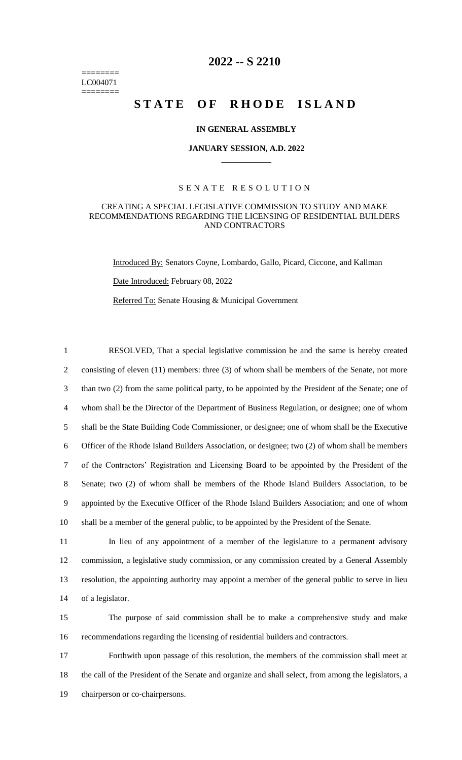======== LC004071 ========

# **2022 -- S 2210**

# STATE OF RHODE ISLAND

### **IN GENERAL ASSEMBLY**

#### **JANUARY SESSION, A.D. 2022 \_\_\_\_\_\_\_\_\_\_\_\_**

### S E N A T E R E S O L U T I O N

#### CREATING A SPECIAL LEGISLATIVE COMMISSION TO STUDY AND MAKE RECOMMENDATIONS REGARDING THE LICENSING OF RESIDENTIAL BUILDERS AND CONTRACTORS

Introduced By: Senators Coyne, Lombardo, Gallo, Picard, Ciccone, and Kallman Date Introduced: February 08, 2022 Referred To: Senate Housing & Municipal Government

 RESOLVED, That a special legislative commission be and the same is hereby created 2 consisting of eleven (11) members: three (3) of whom shall be members of the Senate, not more than two (2) from the same political party, to be appointed by the President of the Senate; one of whom shall be the Director of the Department of Business Regulation, or designee; one of whom shall be the State Building Code Commissioner, or designee; one of whom shall be the Executive Officer of the Rhode Island Builders Association, or designee; two (2) of whom shall be members of the Contractors' Registration and Licensing Board to be appointed by the President of the Senate; two (2) of whom shall be members of the Rhode Island Builders Association, to be appointed by the Executive Officer of the Rhode Island Builders Association; and one of whom shall be a member of the general public, to be appointed by the President of the Senate.

 In lieu of any appointment of a member of the legislature to a permanent advisory commission, a legislative study commission, or any commission created by a General Assembly resolution, the appointing authority may appoint a member of the general public to serve in lieu of a legislator.

15 The purpose of said commission shall be to make a comprehensive study and make 16 recommendations regarding the licensing of residential builders and contractors.

17 Forthwith upon passage of this resolution, the members of the commission shall meet at 18 the call of the President of the Senate and organize and shall select, from among the legislators, a 19 chairperson or co-chairpersons.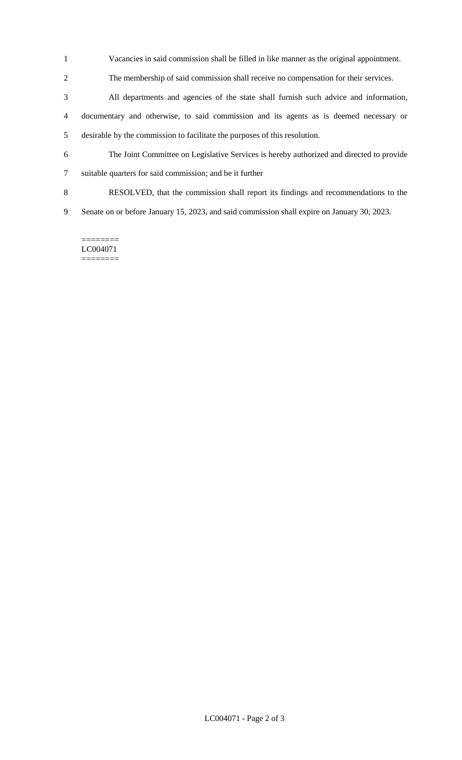- Vacancies in said commission shall be filled in like manner as the original appointment.
- The membership of said commission shall receive no compensation for their services.
- All departments and agencies of the state shall furnish such advice and information, documentary and otherwise, to said commission and its agents as is deemed necessary or desirable by the commission to facilitate the purposes of this resolution.
- The Joint Committee on Legislative Services is hereby authorized and directed to provide
- suitable quarters for said commission; and be it further
- RESOLVED, that the commission shall report its findings and recommendations to the
- Senate on or before January 15, 2023, and said commission shall expire on January 30, 2023.

======== LC004071 ========